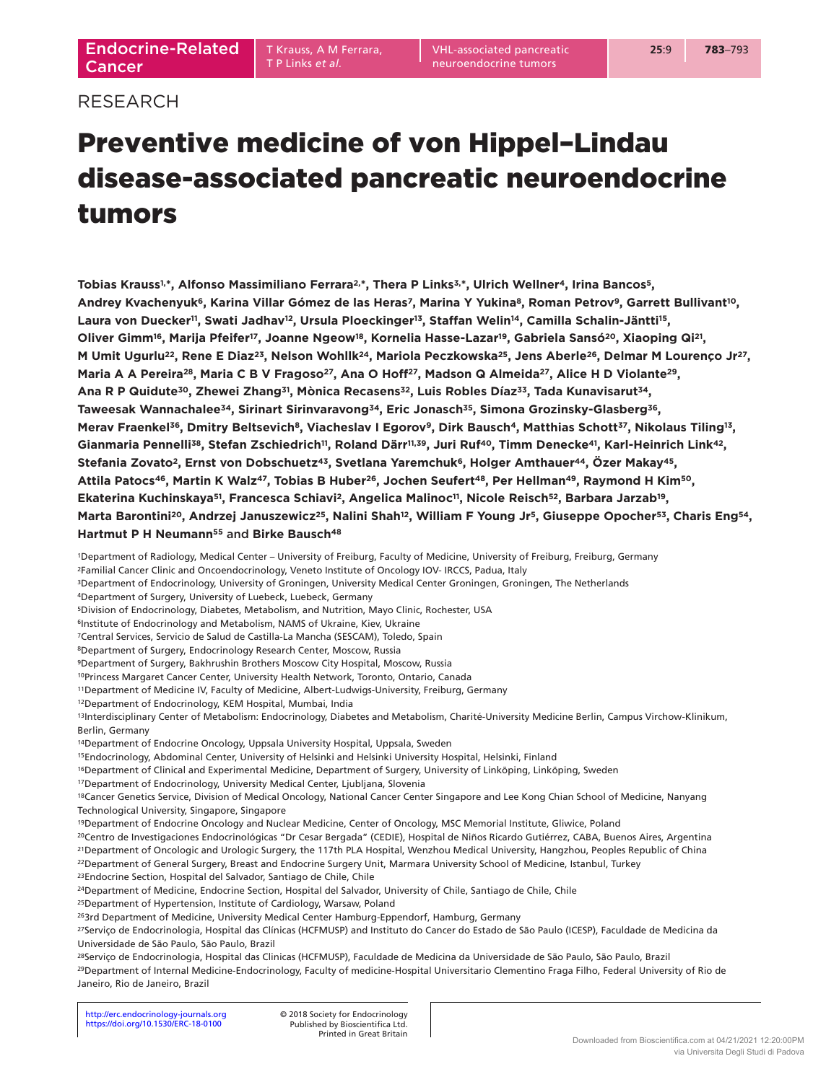VHL-associated pancreatic neuroendocrine tumors

# RESEARCH

# Preventive medicine of von Hippel–Lindau disease-associated pancreatic neuroendocrine tumors

**Tobias Krauss1, \*, Alfonso Massimiliano Ferrara2, \*, Thera P Links3, \*, Ulrich Wellner4, Irina Bancos5, Andrey Kvachenyuk6, Karina Villar Gómez de las Heras7, Marina Y Yukina8, Roman Petrov9, Garrett Bullivant10,**  Laura von Duecker<sup>11</sup>, Swati Jadhav<sup>12</sup>, Ursula Ploeckinger<sup>13</sup>, Staffan Welin<sup>14</sup>, Camilla Schalin-Jäntti<sup>15</sup>, **Oliver Gimm16, Marija Pfeifer17, Joanne Ngeow18, Kornelia Hasse-Lazar19, Gabriela Sansó20, Xiaoping Qi21, M Umit Ugurlu22, Rene E Diaz23, Nelson Wohllk24, Mariola Peczkowska25, Jens Aberle26, Delmar M Lourenço Jr27,**  Maria A A Pereira<sup>28</sup>, Maria C B V Fragoso<sup>27</sup>, Ana O Hoff<sup>27</sup>, Madson Q Almeida<sup>27</sup>, Alice H D Violante<sup>29</sup>, **Ana R P Quidute30, Zhewei Zhang31, Mònica Recasens32, Luis Robles Díaz33, Tada Kunavisarut34, Taweesak Wannachalee34, Sirinart Sirinvaravong34, Eric Jonasch35, Simona Grozinsky-Glasberg36, Merav Fraenkel36, Dmitry Beltsevich8, Viacheslav I Egorov9, Dirk Bausch4, Matthias Schott37, Nikolaus Tiling13,**  Gianmaria Pennelli<sup>38</sup>, Stefan Zschiedrich<sup>11</sup>, Roland Därr<sup>11,39</sup>, Juri Ruf<sup>40</sup>, Timm Denecke<sup>41</sup>, Karl-Heinrich Link<sup>42</sup>, **Stefania Zovato2, Ernst von Dobschuetz43, Svetlana Yaremchuk6, Holger Amthauer44, Özer Makay45, Attila Patocs46, Martin K Walz47, Tobias B Huber26, Jochen Seufert48, Per Hellman49, Raymond H Kim50,**  Ekaterina Kuchinskaya<sup>51</sup>, Francesca Schiavi<sup>2</sup>, Angelica Malinoc<sup>11</sup>, Nicole Reisch<sup>52</sup>, Barbara Jarzab<sup>19</sup>, Marta Barontini<sup>20</sup>, Andrzej Januszewicz<sup>25</sup>, Nalini Shah<sup>12</sup>, William F Young Jr<sup>5</sup>, Giuseppe Opocher<sup>53</sup>, Charis Eng<sup>54</sup>, **Hartmut P H Neumann55** and **Birke Bausch48**

1Department of Radiology, Medical Center – University of Freiburg, Faculty of Medicine, University of Freiburg, Freiburg, Germany

2Familial Cancer Clinic and Oncoendocrinology, Veneto Institute of Oncology IOV- IRCCS, Padua, Italy

3Department of Endocrinology, University of Groningen, University Medical Center Groningen, Groningen, The Netherlands

4Department of Surgery, University of Luebeck, Luebeck, Germany

5Division of Endocrinology, Diabetes, Metabolism, and Nutrition, Mayo Clinic, Rochester, USA

6Institute of Endocrinology and Metabolism, NAMS of Ukraine, Kiev, Ukraine

7Central Services, Servicio de Salud de Castilla-La Mancha (SESCAM), Toledo, Spain

8Department of Surgery, Endocrinology Research Center, Moscow, Russia

9Department of Surgery, Bakhrushin Brothers Moscow City Hospital, Moscow, Russia

10Princess Margaret Cancer Center, University Health Network, Toronto, Ontario, Canada

11Department of Medicine IV, Faculty of Medicine, Albert-Ludwigs-University, Freiburg, Germany

12Department of Endocrinology, KEM Hospital, Mumbai, India

13Interdisciplinary Center of Metabolism: Endocrinology, Diabetes and Metabolism, Charité-University Medicine Berlin, Campus Virchow-Klinikum, Berlin, Germany

14Department of Endocrine Oncology, Uppsala University Hospital, Uppsala, Sweden

15Endocrinology, Abdominal Center, University of Helsinki and Helsinki University Hospital, Helsinki, Finland

16Department of Clinical and Experimental Medicine, Department of Surgery, University of Linköping, Linköping, Sweden

17Department of Endocrinology, University Medical Center, Ljubljana, Slovenia

18Cancer Genetics Service, Division of Medical Oncology, National Cancer Center Singapore and Lee Kong Chian School of Medicine, Nanyang Technological University, Singapore, Singapore

19Department of Endocrine Oncology and Nuclear Medicine, Center of Oncology, MSC Memorial Institute, Gliwice, Poland

20Centro de Investigaciones Endocrinológicas "Dr Cesar Bergada" (CEDIE), Hospital de Niños Ricardo Gutiérrez, CABA, Buenos Aires, Argentina

21Department of Oncologic and Urologic Surgery, the 117th PLA Hospital, Wenzhou Medical University, Hangzhou, Peoples Republic of China

22Department of General Surgery, Breast and Endocrine Surgery Unit, Marmara University School of Medicine, Istanbul, Turkey

23Endocrine Section, Hospital del Salvador, Santiago de Chile, Chile

24Department of Medicine, Endocrine Section, Hospital del Salvador, University of Chile, Santiago de Chile, Chile

25Department of Hypertension, Institute of Cardiology, Warsaw, Poland

263rd Department of Medicine, University Medical Center Hamburg-Eppendorf, Hamburg, Germany

27Serviço de Endocrinologia, Hospital das Clínicas (HCFMUSP) and Instituto do Cancer do Estado de São Paulo (ICESP), Faculdade de Medicina da Universidade de São Paulo, São Paulo, Brazil

28Serviço de Endocrinologia, Hospital das Clinicas (HCFMUSP), Faculdade de Medicina da Universidade de São Paulo, São Paulo, Brazil 29Department of Internal Medicine-Endocrinology, Faculty of medicine-Hospital Universitario Clementino Fraga Filho, Federal University of Rio de Janeiro, Rio de Janeiro, Brazil

Printed in Great Britain Published by Bioscientifica Ltd.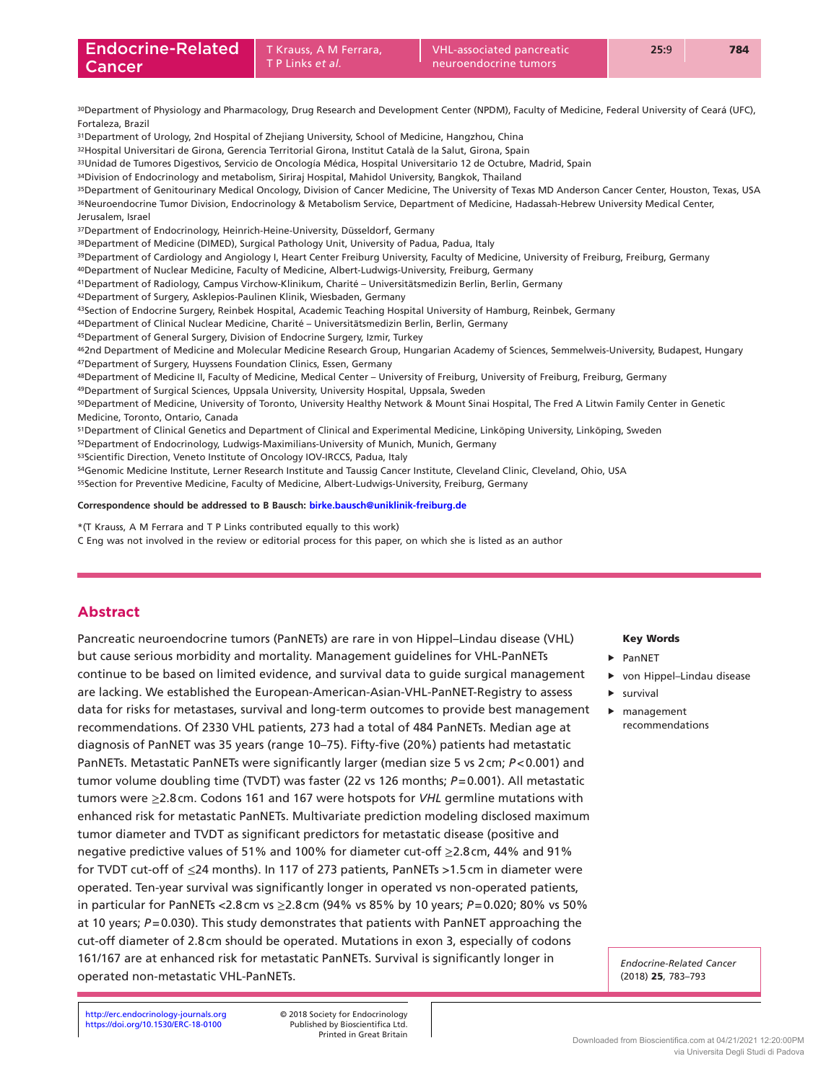30Department of Physiology and Pharmacology, Drug Research and Development Center (NPDM), Faculty of Medicine, Federal University of Ceará (UFC), Fortaleza, Brazil

31Department of Urology, 2nd Hospital of Zhejiang University, School of Medicine, Hangzhou, China

32Hospital Universitari de Girona, Gerencia Territorial Girona, Institut Català de la Salut, Girona, Spain

33Unidad de Tumores Digestivos, Servicio de Oncología Médica, Hospital Universitario 12 de Octubre, Madrid, Spain

34Division of Endocrinology and metabolism, Siriraj Hospital, Mahidol University, Bangkok, Thailand

35Department of Genitourinary Medical Oncology, Division of Cancer Medicine, The University of Texas MD Anderson Cancer Center, Houston, Texas, USA 36Neuroendocrine Tumor Division, Endocrinology & Metabolism Service, Department of Medicine, Hadassah-Hebrew University Medical Center, Jerusalem, Israel

37Department of Endocrinology, Heinrich-Heine-University, Düsseldorf, Germany

38Department of Medicine (DIMED), Surgical Pathology Unit, University of Padua, Padua, Italy

39Department of Cardiology and Angiology I, Heart Center Freiburg University, Faculty of Medicine, University of Freiburg, Freiburg, Germany

40Department of Nuclear Medicine, Faculty of Medicine, Albert-Ludwigs-University, Freiburg, Germany

41Department of Radiology, Campus Virchow-Klinikum, Charité – Universitätsmedizin Berlin, Berlin, Germany

42Department of Surgery, Asklepios-Paulinen Klinik, Wiesbaden, Germany

43Section of Endocrine Surgery, Reinbek Hospital, Academic Teaching Hospital University of Hamburg, Reinbek, Germany

44Department of Clinical Nuclear Medicine, Charité – Universitätsmedizin Berlin, Berlin, Germany

45Department of General Surgery, Division of Endocrine Surgery, Izmir, Turkey

462nd Department of Medicine and Molecular Medicine Research Group, Hungarian Academy of Sciences, Semmelweis-University, Budapest, Hungary 47Department of Surgery, Huyssens Foundation Clinics, Essen, Germany

48Department of Medicine II, Faculty of Medicine, Medical Center - University of Freiburg, University of Freiburg, Freiburg, Germany

49Department of Surgical Sciences, Uppsala University, University Hospital, Uppsala, Sweden

50Department of Medicine, University of Toronto, University Healthy Network & Mount Sinai Hospital, The Fred A Litwin Family Center in Genetic Medicine, Toronto, Ontario, Canada

51Department of Clinical Genetics and Department of Clinical and Experimental Medicine, Linköping University, Linköping, Sweden

52Department of Endocrinology, Ludwigs-Maximilians-University of Munich, Munich, Germany

53Scientific Direction, Veneto Institute of Oncology IOV-IRCCS, Padua, Italy

54Genomic Medicine Institute, Lerner Research Institute and Taussig Cancer Institute, Cleveland Clinic, Cleveland, Ohio, USA

55Section for Preventive Medicine, Faculty of Medicine, Albert-Ludwigs-University, Freiburg, Germany

**Correspondence should be addressed to B Bausch: [birke.bausch@uniklinik-freiburg.de](mailto:birke.bausch@uniklinik-freiburg.de)**

\*(T Krauss, A M Ferrara and T P Links contributed equally to this work)

C Eng was not involved in the review or editorial process for this paper, on which she is listed as an author

# **Abstract**

Pancreatic neuroendocrine tumors (PanNETs) are rare in von Hippel–Lindau disease (VHL) but cause serious morbidity and mortality. Management guidelines for VHL-PanNETs continue to be based on limited evidence, and survival data to guide surgical management are lacking. We established the European-American-Asian-VHL-PanNET-Registry to assess data for risks for metastases, survival and long-term outcomes to provide best management recommendations. Of 2330 VHL patients, 273 had a total of 484 PanNETs. Median age at diagnosis of PanNET was 35 years (range 10–75). Fifty-five (20%) patients had metastatic PanNETs. Metastatic PanNETs were significantly larger (median size 5 vs 2cm; *P*<0.001) and tumor volume doubling time (TVDT) was faster (22 vs 126 months;  $P=0.001$ ). All metastatic tumors were ≥2.8cm. Codons 161 and 167 were hotspots for *VHL* germline mutations with enhanced risk for metastatic PanNETs. Multivariate prediction modeling disclosed maximum tumor diameter and TVDT as significant predictors for metastatic disease (positive and negative predictive values of 51% and 100% for diameter cut-off ≥2.8cm, 44% and 91% for TVDT cut-off of ≤24 months). In 117 of 273 patients, PanNETs >1.5cm in diameter were operated. Ten-year survival was significantly longer in operated vs non-operated patients, in particular for PanNETs <2.8cm vs ≥2.8cm (94% vs 85% by 10 years; *P*=0.020; 80% vs 50% at 10 years; *P*=0.030). This study demonstrates that patients with PanNET approaching the cut-off diameter of 2.8cm should be operated. Mutations in exon 3, especially of codons 161/167 are at enhanced risk for metastatic PanNETs. Survival is significantly longer in operated non-metastatic VHL-PanNETs.

## Key Words

- f PanNET
- $\blacktriangleright$  von Hippel–Lindau disease
- $\blacktriangleright$  survival
	- $\blacktriangleright$  management recommendations

*Endocrine-Related Cancer*  (2018) 25, 783–793

<https://doi.org/10.1530/ERC-18-0100> Published by Bioscientifica Ltd. http://erc.endocrinology-journals.org © 2018 Society for Endocrinology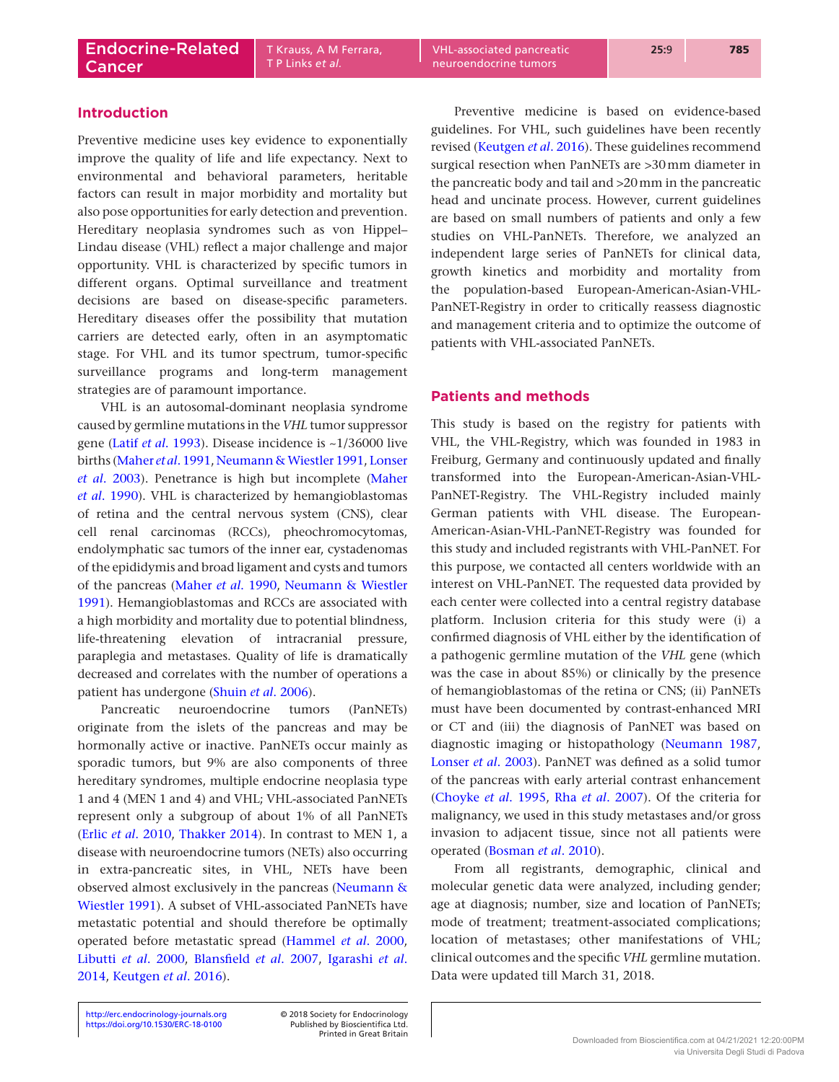T P Links *et al.*

# **Introduction**

Preventive medicine uses key evidence to exponentially improve the quality of life and life expectancy. Next to environmental and behavioral parameters, heritable factors can result in major morbidity and mortality but also pose opportunities for early detection and prevention. Hereditary neoplasia syndromes such as von Hippel– Lindau disease (VHL) reflect a major challenge and major opportunity. VHL is characterized by specific tumors in different organs. Optimal surveillance and treatment decisions are based on disease-specific parameters. Hereditary diseases offer the possibility that mutation carriers are detected early, often in an asymptomatic stage. For VHL and its tumor spectrum, tumor-specific surveillance programs and long-term management strategies are of paramount importance.

VHL is an autosomal-dominant neoplasia syndrome caused by germline mutations in the *VHL* tumor suppressor gene (Latif *et al*[. 1993\)](#page-10-0). Disease incidence is ~1/36000 live births [\(Maher](#page-10-1) *et al*. 1991, [Neumann & Wiestler 1991,](#page-10-2) [Lonser](#page-10-3)  *et al*[. 2003\)](#page-10-3). Penetrance is high but incomplete ([Maher](#page-10-4)  *et al*[. 1990\)](#page-10-4). VHL is characterized by hemangioblastomas of retina and the central nervous system (CNS), clear cell renal carcinomas (RCCs), pheochromocytomas, endolymphatic sac tumors of the inner ear, cystadenomas of the epididymis and broad ligament and cysts and tumors of the pancreas ([Maher](#page-10-4) *et al*. 1990, [Neumann & Wiestler](#page-10-2)  [1991](#page-10-2)). Hemangioblastomas and RCCs are associated with a high morbidity and mortality due to potential blindness, life-threatening elevation of intracranial pressure, paraplegia and metastases. Quality of life is dramatically decreased and correlates with the number of operations a patient has undergone ([Shuin](#page-10-5) *et al*. 2006).

Pancreatic neuroendocrine tumors (PanNETs) originate from the islets of the pancreas and may be hormonally active or inactive. PanNETs occur mainly as sporadic tumors, but 9% are also components of three hereditary syndromes, multiple endocrine neoplasia type 1 and 4 (MEN 1 and 4) and VHL; VHL-associated PanNETs represent only a subgroup of about 1% of all PanNETs (Erlic *et al*[. 2010](#page-10-6), [Thakker 2014](#page-10-7)). In contrast to MEN 1, a disease with neuroendocrine tumors (NETs) also occurring in extra-pancreatic sites, in VHL, NETs have been observed almost exclusively in the pancreas ([Neumann &](#page-10-2)  [Wiestler 1991](#page-10-2)). A subset of VHL-associated PanNETs have metastatic potential and should therefore be optimally operated before metastatic spread [\(Hammel](#page-10-8) *et al*. 2000, [Libutti](#page-10-9) *et al*. 2000, [Blansfield](#page-9-0) *et al*. 2007, [Igarashi](#page-10-10) *et al*. [2014](#page-10-10), [Keutgen](#page-10-11) *et al*. 2016).

Preventive medicine is based on evidence-based guidelines. For VHL, such guidelines have been recently revised [\(Keutgen](#page-10-11) *et al*. 2016). These guidelines recommend surgical resection when PanNETs are >30mm diameter in the pancreatic body and tail and >20mm in the pancreatic head and uncinate process. However, current guidelines are based on small numbers of patients and only a few studies on VHL-PanNETs. Therefore, we analyzed an independent large series of PanNETs for clinical data, growth kinetics and morbidity and mortality from the population-based European-American-Asian-VHL-PanNET-Registry in order to critically reassess diagnostic and management criteria and to optimize the outcome of patients with VHL-associated PanNETs.

## **Patients and methods**

This study is based on the registry for patients with VHL, the VHL-Registry, which was founded in 1983 in Freiburg, Germany and continuously updated and finally transformed into the European-American-Asian-VHL-PanNET-Registry. The VHL-Registry included mainly German patients with VHL disease. The European-American-Asian-VHL-PanNET-Registry was founded for this study and included registrants with VHL-PanNET. For this purpose, we contacted all centers worldwide with an interest on VHL-PanNET. The requested data provided by each center were collected into a central registry database platform. Inclusion criteria for this study were (i) a confirmed diagnosis of VHL either by the identification of a pathogenic germline mutation of the *VHL* gene (which was the case in about 85%) or clinically by the presence of hemangioblastomas of the retina or CNS; (ii) PanNETs must have been documented by contrast-enhanced MRI or CT and (iii) the diagnosis of PanNET was based on diagnostic imaging or histopathology ([Neumann 1987](#page-10-12), [Lonser](#page-10-3) *et al*. 2003). PanNET was defined as a solid tumor of the pancreas with early arterial contrast enhancement ([Choyke](#page-10-13) *et al*. 1995, Rha *et al*[. 2007\)](#page-10-14). Of the criteria for malignancy, we used in this study metastases and/or gross invasion to adjacent tissue, since not all patients were operated ([Bosman](#page-9-1) *et al*. 2010).

From all registrants, demographic, clinical and molecular genetic data were analyzed, including gender; age at diagnosis; number, size and location of PanNETs; mode of treatment; treatment-associated complications; location of metastases; other manifestations of VHL; clinical outcomes and the specific *VHL* germline mutation. Data were updated till March 31, 2018.

http://erc.endocrinology-journals.org © 2018 Society for Endocrinology <https://doi.org/10.1530/ERC-18-0100>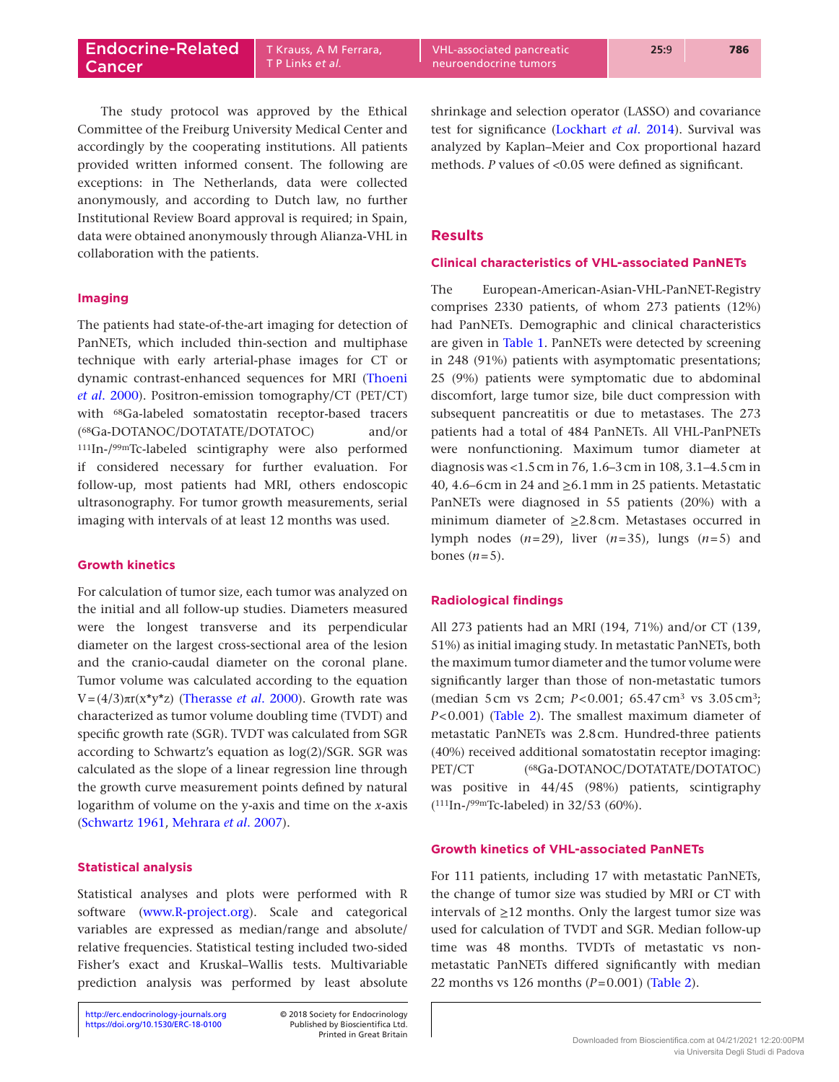The study protocol was approved by the Ethical Committee of the Freiburg University Medical Center and accordingly by the cooperating institutions. All patients provided written informed consent. The following are exceptions: in The Netherlands, data were collected anonymously, and according to Dutch law, no further Institutional Review Board approval is required; in Spain, data were obtained anonymously through Alianza-VHL in collaboration with the patients.

## **Imaging**

The patients had state-of-the-art imaging for detection of PanNETs, which included thin-section and multiphase technique with early arterial-phase images for CT or dynamic contrast-enhanced sequences for MRI ([Thoeni](#page-10-15)  *et al*[. 2000](#page-10-15)). Positron-emission tomography/CT (PET/CT) with 68Ga-labeled somatostatin receptor-based tracers (68Ga-DOTANOC/DOTATATE/DOTATOC) and/or 111In-/99mTc-labeled scintigraphy were also performed if considered necessary for further evaluation. For follow-up, most patients had MRI, others endoscopic ultrasonography. For tumor growth measurements, serial imaging with intervals of at least 12 months was used.

## **Growth kinetics**

For calculation of tumor size, each tumor was analyzed on the initial and all follow-up studies. Diameters measured were the longest transverse and its perpendicular diameter on the largest cross-sectional area of the lesion and the cranio-caudal diameter on the coronal plane. Tumor volume was calculated according to the equation V=(4/3)πr(x\*y\*z) ([Therasse](#page-10-16) *et al*. 2000). Growth rate was characterized as tumor volume doubling time (TVDT) and specific growth rate (SGR). TVDT was calculated from SGR according to Schwartz's equation as log(2)/SGR. SGR was calculated as the slope of a linear regression line through the growth curve measurement points defined by natural logarithm of volume on the y-axis and time on the *x*-axis ([Schwartz 1961,](#page-10-17) [Mehrara](#page-10-18) *et al*. 2007).

## **Statistical analysis**

Statistical analyses and plots were performed with R software [\(www.R-](http://www.R-project.org)project.org). Scale and categorical variables are expressed as median/range and absolute/ relative frequencies. Statistical testing included two-sided Fisher's exact and Kruskal–Wallis tests. Multivariable prediction analysis was performed by least absolute

Printed in Great Britain

shrinkage and selection operator (LASSO) and covariance test for significance ([Lockhart](#page-10-19) *et al*. 2014). Survival was analyzed by Kaplan–Meier and Cox proportional hazard methods. *P* values of <0.05 were defined as significant.

## **Results**

#### **Clinical characteristics of VHL-associated PanNETs**

The European-American-Asian-VHL-PanNET-Registry comprises 2330 patients, of whom 273 patients (12%) had PanNETs. Demographic and clinical characteristics are given in [Table 1](#page-4-0). PanNETs were detected by screening in 248 (91%) patients with asymptomatic presentations; 25 (9%) patients were symptomatic due to abdominal discomfort, large tumor size, bile duct compression with subsequent pancreatitis or due to metastases. The 273 patients had a total of 484 PanNETs. All VHL-PanPNETs were nonfunctioning. Maximum tumor diameter at diagnosis was <1.5cm in 76, 1.6–3cm in 108, 3.1–4.5cm in 40, 4.6–6cm in 24 and  $\geq$ 6.1 mm in 25 patients. Metastatic PanNETs were diagnosed in 55 patients (20%) with a minimum diameter of ≥2.8cm. Metastases occurred in lymph nodes  $(n=29)$ , liver  $(n=35)$ , lungs  $(n=5)$  and bones  $(n=5)$ .

## **Radiological findings**

All 273 patients had an MRI (194, 71%) and/or CT (139, 51%) as initial imaging study. In metastatic PanNETs, both the maximum tumor diameter and the tumor volume were significantly larger than those of non-metastatic tumors (median 5cm vs 2cm; *P*<0.001; 65.47cm3 vs 3.05cm3; *P*<0.001) (Table 2). The smallest maximum diameter of metastatic PanNETs was 2.8cm. Hundred-three patients (40%) received additional somatostatin receptor imaging: PET/CT  $^{68}Ga\text{-DOTANOC/DOTATATE/DOTATOC)}$ was positive in 44/45 (98%) patients, scintigraphy (111In-/99mTc-labeled) in 32/53 (60%).

## **Growth kinetics of VHL-associated PanNETs**

For 111 patients, including 17 with metastatic PanNETs, the change of tumor size was studied by MRI or CT with intervals of  $\geq$ 12 months. Only the largest tumor size was used for calculation of TVDT and SGR. Median follow-up time was 48 months. TVDTs of metastatic vs nonmetastatic PanNETs differed significantly with median 22 months vs 126 months (*P*=0.001) [\(Table 2](#page-4-0)).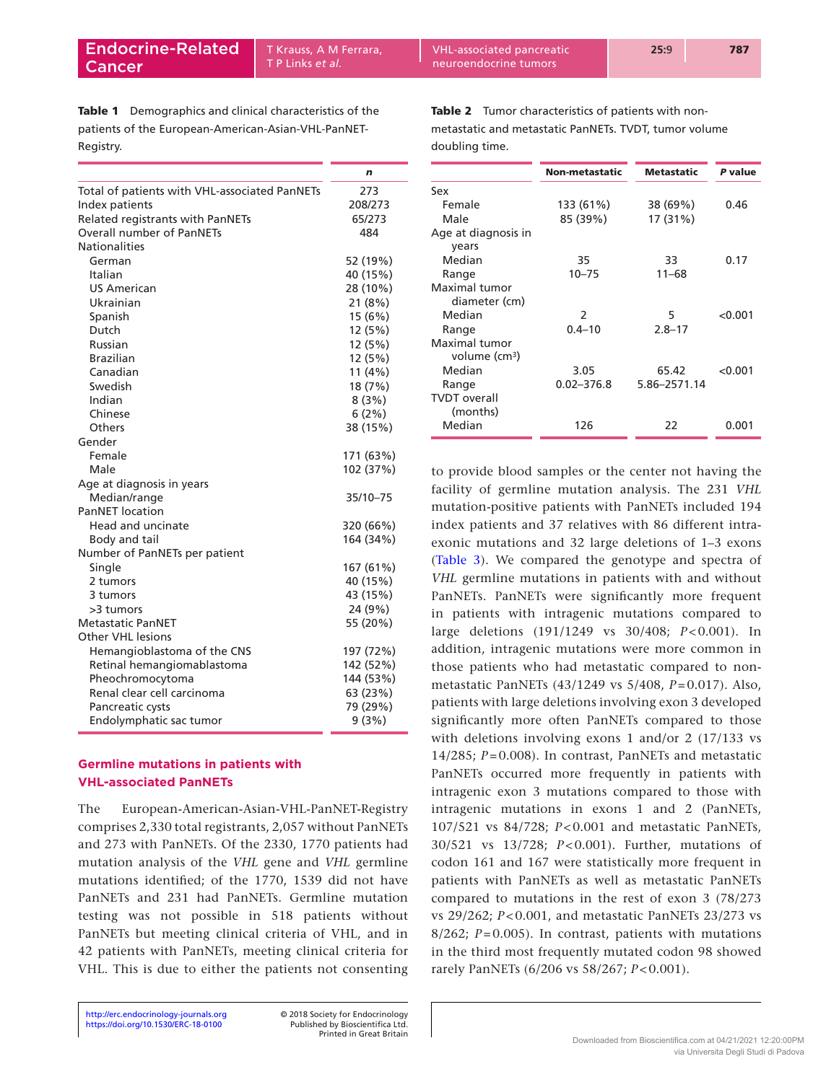<span id="page-4-0"></span>Table 1 Demographics and clinical characteristics of the patients of the European-American-Asian-VHL-PanNET-Registry.

|                                               | n         |
|-----------------------------------------------|-----------|
| Total of patients with VHL-associated PanNETs | 273       |
| Index patients                                | 208/273   |
| Related registrants with PanNETs              | 65/273    |
| <b>Overall number of PanNETs</b>              | 484       |
| <b>Nationalities</b>                          |           |
| German                                        | 52 (19%)  |
| Italian                                       | 40 (15%)  |
| <b>US American</b>                            | 28 (10%)  |
| Ukrainian                                     | 21(8%)    |
| Spanish                                       | 15 (6%)   |
| Dutch                                         | 12 (5%)   |
| Russian                                       | 12 (5%)   |
| <b>Brazilian</b>                              | 12 (5%)   |
| Canadian                                      | 11(4%)    |
| Swedish                                       | 18 (7%)   |
| Indian                                        | 8(3%)     |
| Chinese                                       | 6(2%)     |
| Others                                        | 38 (15%)  |
| Gender                                        |           |
| Female                                        | 171 (63%) |
| Male                                          | 102 (37%) |
| Age at diagnosis in years                     |           |
| Median/range                                  | 35/10-75  |
| <b>PanNET</b> location                        |           |
| Head and uncinate                             | 320 (66%) |
| Body and tail                                 | 164 (34%) |
| Number of PanNETs per patient                 |           |
| Single                                        | 167 (61%) |
| 2 tumors                                      | 40 (15%)  |
| 3 tumors                                      | 43 (15%)  |
| >3 tumors                                     | 24 (9%)   |
| <b>Metastatic PanNET</b>                      | 55 (20%)  |
| <b>Other VHL lesions</b>                      |           |
| Hemangioblastoma of the CNS                   | 197 (72%) |
| Retinal hemangiomablastoma                    | 142 (52%) |
| Pheochromocytoma                              | 144 (53%) |
| Renal clear cell carcinoma                    | 63 (23%)  |
| Pancreatic cysts                              | 79 (29%)  |
| Endolymphatic sac tumor                       | 9(3%)     |

# **Germline mutations in patients with VHL-associated PanNETs**

The European-American-Asian-VHL-PanNET-Registry comprises 2,330 total registrants, 2,057 without PanNETs and 273 with PanNETs. Of the 2330, 1770 patients had mutation analysis of the *VHL* gene and *VHL* germline mutations identified; of the 1770, 1539 did not have PanNETs and 231 had PanNETs. Germline mutation testing was not possible in 518 patients without PanNETs but meeting clinical criteria of VHL, and in 42 patients with PanNETs, meeting clinical criteria for VHL. This is due to either the patients not consenting Table 2 Tumor characteristics of patients with nonmetastatic and metastatic PanNETs. TVDT, tumor volume doubling time.

|                                            | Non-metastatic | <b>Metastatic</b> | P value |
|--------------------------------------------|----------------|-------------------|---------|
| Sex                                        |                |                   |         |
| Female                                     | 133 (61%)      | 38 (69%)          | 0.46    |
| Male                                       | 85 (39%)       | 17 (31%)          |         |
| Age at diagnosis in<br>years               |                |                   |         |
| Median                                     | 35             | 33                | 0.17    |
| Range                                      | $10 - 75$      | $11 - 68$         |         |
| Maximal tumor<br>diameter (cm)             |                |                   |         |
| Median                                     | $\mathcal{P}$  | 5                 | < 0.001 |
| Range                                      | $0.4 - 10$     | $2.8 - 17$        |         |
| Maximal tumor<br>volume (cm <sup>3</sup> ) |                |                   |         |
| Median                                     | 3.05           | 65.42             | < 0.001 |
| Range                                      | $0.02 - 376.8$ | 5.86-2571.14      |         |
| <b>TVDT</b> overall<br>(months)            |                |                   |         |
| Median                                     | 126            | 22                | 0.001   |

to provide blood samples or the center not having the facility of germline mutation analysis. The 231 *VHL* mutation-positive patients with PanNETs included 194 index patients and 37 relatives with 86 different intraexonic mutations and 32 large deletions of 1–3 exons [\(Table 3](#page-5-0)). We compared the genotype and spectra of *VHL* germline mutations in patients with and without PanNETs. PanNETs were significantly more frequent in patients with intragenic mutations compared to large deletions (191/1249 vs 30/408; *P* < 0.001). In addition, intragenic mutations were more common in those patients who had metastatic compared to nonmetastatic PanNETs (43/1249 vs 5/408, *P* = 0.017). Also, patients with large deletions involving exon 3 developed significantly more often PanNETs compared to those with deletions involving exons 1 and/or 2 (17/133 vs 14/285;  $P = 0.008$ ). In contrast, PanNETs and metastatic PanNETs occurred more frequently in patients with intragenic exon 3 mutations compared to those with intragenic mutations in exons 1 and 2 (PanNETs, 107/521 vs 84/728; *P* < 0.001 and metastatic PanNETs, 30/521 vs 13/728; *P* < 0.001). Further, mutations of codon 161 and 167 were statistically more frequent in patients with PanNETs as well as metastatic PanNETs compared to mutations in the rest of exon 3 (78/273 vs 29/262; *P* < 0.001, and metastatic PanNETs 23/273 vs 8/262; *P*=0.005). In contrast, patients with mutations in the third most frequently mutated codon 98 showed rarely PanNETs (6/206 vs 58/267; *P* < 0.001).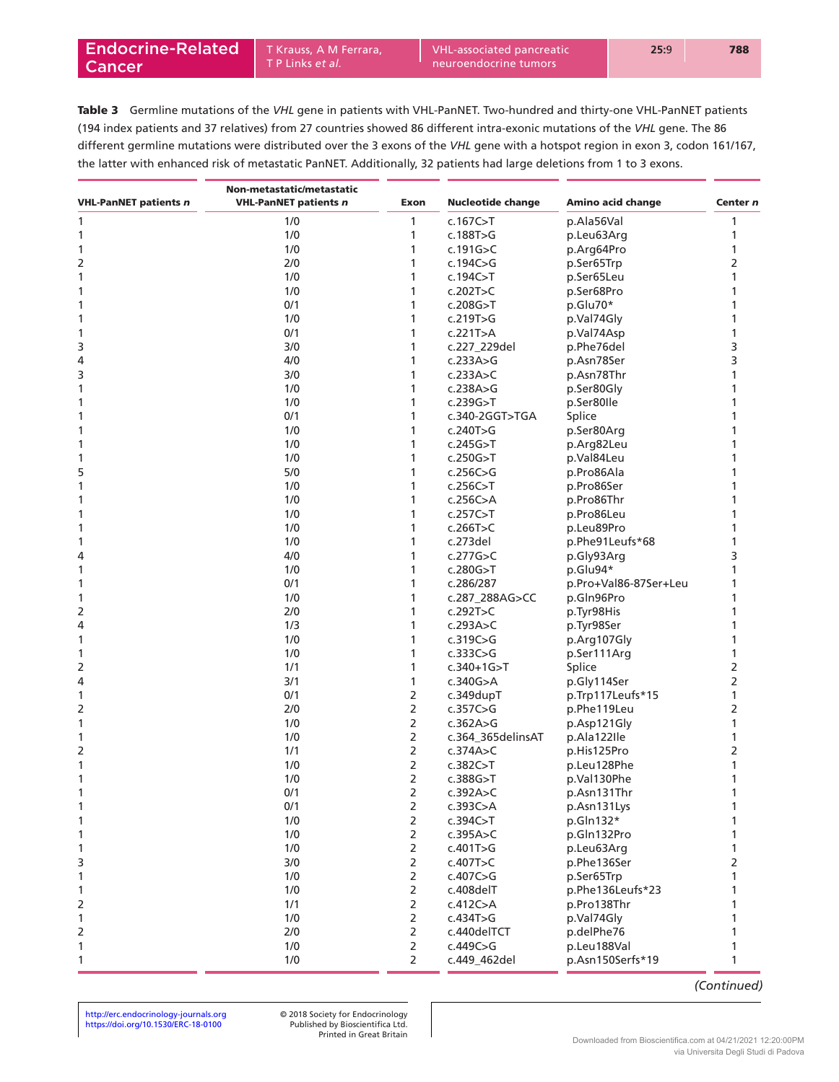<span id="page-5-0"></span>Table 3 Germline mutations of the *VHL* gene in patients with VHL-PanNET. Two-hundred and thirty-one VHL-PanNET patients (194 index patients and 37 relatives) from 27 countries showed 86 different intra-exonic mutations of the *VHL* gene. The 86 different germline mutations were distributed over the 3 exons of the *VHL* gene with a hotspot region in exon 3, codon 161/167, the latter with enhanced risk of metastatic PanNET. Additionally, 32 patients had large deletions from 1 to 3 exons.

|                              | Non-metastatic/metastatic    |                                  |                          |                           |                |
|------------------------------|------------------------------|----------------------------------|--------------------------|---------------------------|----------------|
| <b>VHL-PanNET patients n</b> | <b>VHL-PanNET patients n</b> | Exon                             | <b>Nucleotide change</b> | Amino acid change         | Center n       |
| 1                            | 1/0                          | 1                                | c.167 $C>$ T             | p.Ala56Val                | 1              |
| 1                            | 1/0                          | 1                                | c.188T>G                 | p.Leu63Arg                | 1              |
| 1                            | 1/0                          | 1                                | c.191 $G > C$            | p.Arg64Pro                | 1              |
| 2                            | 2/0                          | 1                                | c.194 $C > G$            | p.Ser65Trp                | 2              |
| 1                            | 1/0                          | 1                                | c.194C > T               | p.Ser65Leu                | 1              |
| 1                            | 1/0                          | 1                                | c.202T $>$ C             | p.Ser68Pro                |                |
| 1                            | 0/1                          |                                  | c.208G > T               | p.Glu70*                  |                |
| 1                            | 1/0                          | 1                                | c.219T>G                 | p.Val74Gly                |                |
| 1                            | 0/1                          |                                  | c.221T>A                 | p.Val74Asp                |                |
| 3                            | 3/0                          | 1                                | c.227_229del             | p.Phe76del                | 3              |
| 4                            | 4/0                          | 1                                | c.233A $>$ G             | p.Asn78Ser                | 3              |
| 3                            | 3/0                          | 1                                | c.233A $>$ C             | p.Asn78Thr                |                |
| 1                            | 1/0                          | 1                                | c.238A $>$ G             | p.Ser80Gly                |                |
| 1                            | 1/0                          |                                  | c.239G > T               | p.Ser80lle                |                |
| 1                            | 0/1                          | 1                                | c.340-2GGT>TGA           | Splice                    |                |
| 1                            | 1/0                          | 1                                | c.240T>G                 | p.Ser80Arg                |                |
| 1                            | 1/0                          | 1                                | c.245G > T               | p.Arg82Leu                |                |
| 1                            | 1/0                          | 1                                | c.250G > T               | p.Val84Leu                |                |
| 5                            | 5/0                          | 1                                | c.256C > G               | p.Pro86Ala                |                |
| 1                            | 1/0                          | 1                                | c.256C > T               | p.Pro86Ser                |                |
| 1                            | 1/0                          | 1                                | c.256C $>$ A             | p.Pro86Thr                |                |
| 1                            | 1/0                          | 1                                | c.257C > T               | p.Pro86Leu                |                |
| 1                            | 1/0                          | 1                                | c.266T $>$ C             | p.Leu89Pro                | 1              |
| 1                            | 1/0                          | 1                                | $c.273$ del              | p.Phe91Leufs*68           |                |
| 4                            | 4/0                          | 1                                | c.277G $>$ C             | p.Gly93Arg                | 3              |
| 1                            | 1/0                          | 1                                | c.280G > T               | p.Glu94*                  | 1              |
| 1                            | 0/1                          | 1                                | c.286/287                | p.Pro+Val86-87Ser+Leu     | 1              |
| 1                            | 1/0                          | 1                                | c.287_288AG>CC           | p.Gln96Pro                | 1              |
| 2                            | 2/0                          | 1                                | c.292T > C               | p.Tyr98His                |                |
| 4                            | 1/3                          | 1                                | c.293A $>$ C             | p.Tyr98Ser                | 1              |
| 1                            | 1/0                          | 1                                | c.319 $C > G$            | p.Arg107Gly               | 1              |
| 1                            | 1/0                          | 1                                | c.333 $C>G$              | p.Ser111Arg               | 1              |
| 2                            | 1/1                          | 1                                | $c.340+1G > T$           | Splice                    | 2              |
| 4                            | 3/1                          | 1                                | c.340G > A               | p.Gly114Ser               | 2              |
| 1                            | 0/1                          | 2                                | $c.349$ dup $T$          | p.Trp117Leufs*15          | 1              |
| 2                            | 2/0                          | $\overline{2}$                   | c.357 $C > G$            | p.Phe119Leu               | $\overline{2}$ |
| 1                            | 1/0                          | $\overline{2}$                   | c.362A $>$ G             | p.Asp121Gly               | 1              |
| 1                            | 1/0                          | 2                                | c.364 365delinsAT        | p.Ala122Ile               | 1              |
| 2                            | 1/1                          | 2                                | c.374A $>$ C             | p.His125Pro               | 2              |
| 1                            | 1/0                          | 2                                | c.382C > T               | p.Leu128Phe               | 1              |
| 1                            | 1/0                          | $\overline{2}$                   | c.388G > T               | p.Val130Phe               | 1              |
| 1                            | 0/1                          | 2                                | c.392A $>$ C             | p.Asn131Thr               |                |
| 1                            | 0/1                          | $\overline{2}$                   | c.393C>A                 | p.Asn131Lys               | 1              |
| 1                            | 1/0                          | $\overline{2}$                   | c.394C > T               | p.Gln132*                 |                |
|                              | 1/0                          | $\overline{2}$                   | c.395A > C               | p.Gln132Pro               | 1              |
| 1                            | 1/0                          | $\overline{2}$                   | c.401T>G                 |                           | 1              |
| 1                            | 3/0                          | $\overline{2}$                   |                          | p.Leu63Arg<br>p.Phe136Ser |                |
| 3                            | 1/0                          |                                  | c.407T>C<br>c.407C > G   | p.Ser65Trp                | 2<br>1         |
| 1                            | 1/0                          | $\overline{2}$                   |                          | p.Phe136Leufs*23          |                |
| 1                            | 1/1                          | $\overline{2}$<br>$\overline{2}$ | c.408delT                |                           | 1              |
| 2                            |                              |                                  | c.412C>A                 | p.Pro138Thr               |                |
| 1                            | 1/0                          | $\overline{2}$                   | c.434T>G                 | p.Val74Gly                | 1              |
| 2                            | 2/0                          | $\overline{2}$                   | c.440delTCT              | p.delPhe76                | 1              |
| 1                            | 1/0                          | $\overline{2}$                   | c.449C>G                 | p.Leu188Val               | 1              |
| 1                            | 1/0                          | $\overline{2}$                   | c.449_462del             | p.Asn150Serfs*19          | 1              |

*(Continued)*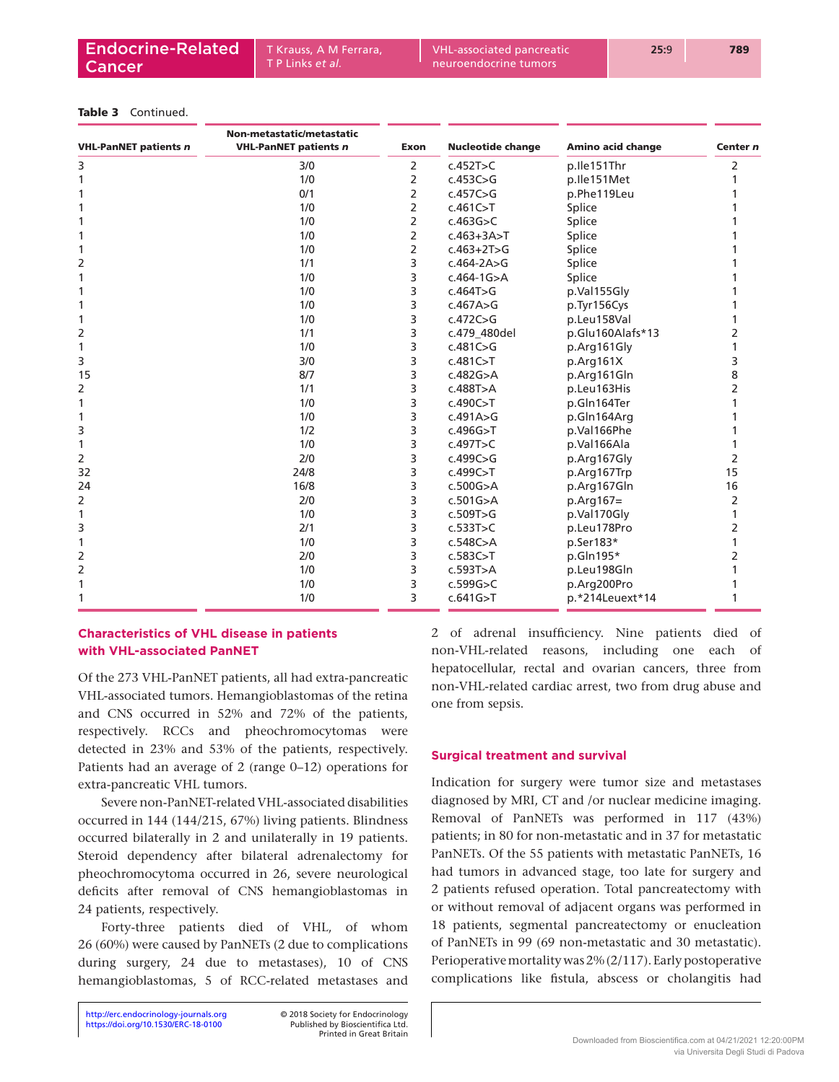#### Table 3 Continued.

| <b>VHL-PanNET patients n</b> | Non-metastatic/metastatic<br><b>VHL-PanNET patients n</b> | <b>Exon</b> | <b>Nucleotide change</b> | Amino acid change | Center n       |
|------------------------------|-----------------------------------------------------------|-------------|--------------------------|-------------------|----------------|
| 3                            | 3/0                                                       | 2           | c.452T > C               | p.lle151Thr       | 2              |
| 1                            | 1/0                                                       | 2           | c.453C>G                 | p.lle151Met       |                |
|                              | 0/1                                                       | 2           | c.457C > G               | p.Phe119Leu       |                |
|                              | 1/0                                                       | 2           | c.461C > T               | Splice            |                |
|                              | 1/0                                                       | 2           | c.463G > C               | Splice            |                |
|                              | 1/0                                                       | 2           | $c.463+3A>T$             | Splice            |                |
|                              | 1/0                                                       | 2           | $c.463 + 2T > G$         | Splice            |                |
| 2                            | 1/1                                                       | 3           | $c.464 - 2A > G$         | Splice            |                |
|                              | 1/0                                                       | 3           | $c.464 - 1G > A$         | Splice            |                |
|                              | 1/0                                                       | 3           | c.464T>G                 | p.Val155Gly       |                |
|                              | 1/0                                                       | 3           | c.467A>G                 | p.Tyr156Cys       |                |
|                              | 1/0                                                       | 3           | c.472C > G               | p.Leu158Val       |                |
| 2                            | 1/1                                                       | 3           | c.479 480del             | p.Glu160Alafs*13  | 2              |
| 1                            | 1/0                                                       | 3           | c.481C>G                 | p.Arg161Gly       |                |
| 3                            | 3/0                                                       | 3           | c.481C > T               | p.Arq161X         | 3              |
| 15                           | 8/7                                                       | 3           | c.482G > A               | p.Arg161Gln       | 8              |
| 2                            | 1/1                                                       | 3           | c.488T>A                 | p.Leu163His       | $\mathcal{P}$  |
|                              | 1/0                                                       | 3           | c.490C > T               | p.Gln164Ter       |                |
|                              | 1/0                                                       | 3           | c.491A>G                 | p.Gln164Arq       |                |
| 3                            | 1/2                                                       | 3           | c.496G > T               | p.Val166Phe       |                |
| 1                            | 1/0                                                       | 3           | c.497T>C                 | p.Val166Ala       |                |
| 2                            | 2/0                                                       | 3           | c.499C>G                 | p.Arg167Gly       | 2              |
| 32                           | 24/8                                                      | 3           | c.499C > T               | p.Arg167Trp       | 15             |
| 24                           | 16/8                                                      | 3           | c.500G > A               | p.Arg167Gln       | 16             |
| 2                            | 2/0                                                       | 3           | c.501G > A               | $p.Arq167=$       | 2              |
| 1                            | 1/0                                                       | 3           | c.509T>G                 | p.Val170Gly       |                |
| 3                            | 2/1                                                       | 3           | c.533T > C               | p.Leu178Pro       | 2              |
| 1                            | 1/0                                                       | 3           | c.548C>A                 | p.Ser183*         |                |
| 2                            | 2/0                                                       | 3           | c.583C > T               | p.Gln195*         | $\overline{2}$ |
| 2                            | 1/0                                                       | 3           | c.593T>A                 | p.Leu198Gln       |                |
|                              | 1/0                                                       | 3           | c.599G > C               | p.Arg200Pro       |                |
|                              | 1/0                                                       | 3           | c.641G > T               | p.*214Leuext*14   |                |

## **Characteristics of VHL disease in patients with VHL-associated PanNET**

Of the 273 VHL-PanNET patients, all had extra-pancreatic VHL-associated tumors. Hemangioblastomas of the retina and CNS occurred in 52% and 72% of the patients, respectively. RCCs and pheochromocytomas were detected in 23% and 53% of the patients, respectively. Patients had an average of 2 (range 0–12) operations for extra-pancreatic VHL tumors.

Severe non-PanNET-related VHL-associated disabilities occurred in 144 (144/215, 67%) living patients. Blindness occurred bilaterally in 2 and unilaterally in 19 patients. Steroid dependency after bilateral adrenalectomy for pheochromocytoma occurred in 26, severe neurological deficits after removal of CNS hemangioblastomas in 24 patients, respectively.

Forty-three patients died of VHL, of whom 26 (60%) were caused by PanNETs (2 due to complications during surgery, 24 due to metastases), 10 of CNS hemangioblastomas, 5 of RCC-related metastases and

Printed in Great Britain

2 of adrenal insufficiency. Nine patients died of non-VHL-related reasons, including one each of hepatocellular, rectal and ovarian cancers, three from non-VHL-related cardiac arrest, two from drug abuse and one from sepsis.

#### **Surgical treatment and survival**

Indication for surgery were tumor size and metastases diagnosed by MRI, CT and /or nuclear medicine imaging. Removal of PanNETs was performed in 117 (43%) patients; in 80 for non-metastatic and in 37 for metastatic PanNETs. Of the 55 patients with metastatic PanNETs, 16 had tumors in advanced stage, too late for surgery and 2 patients refused operation. Total pancreatectomy with or without removal of adjacent organs was performed in 18 patients, segmental pancreatectomy or enucleation of PanNETs in 99 (69 non-metastatic and 30 metastatic). Perioperative mortality was 2% (2/117). Early postoperative complications like fistula, abscess or cholangitis had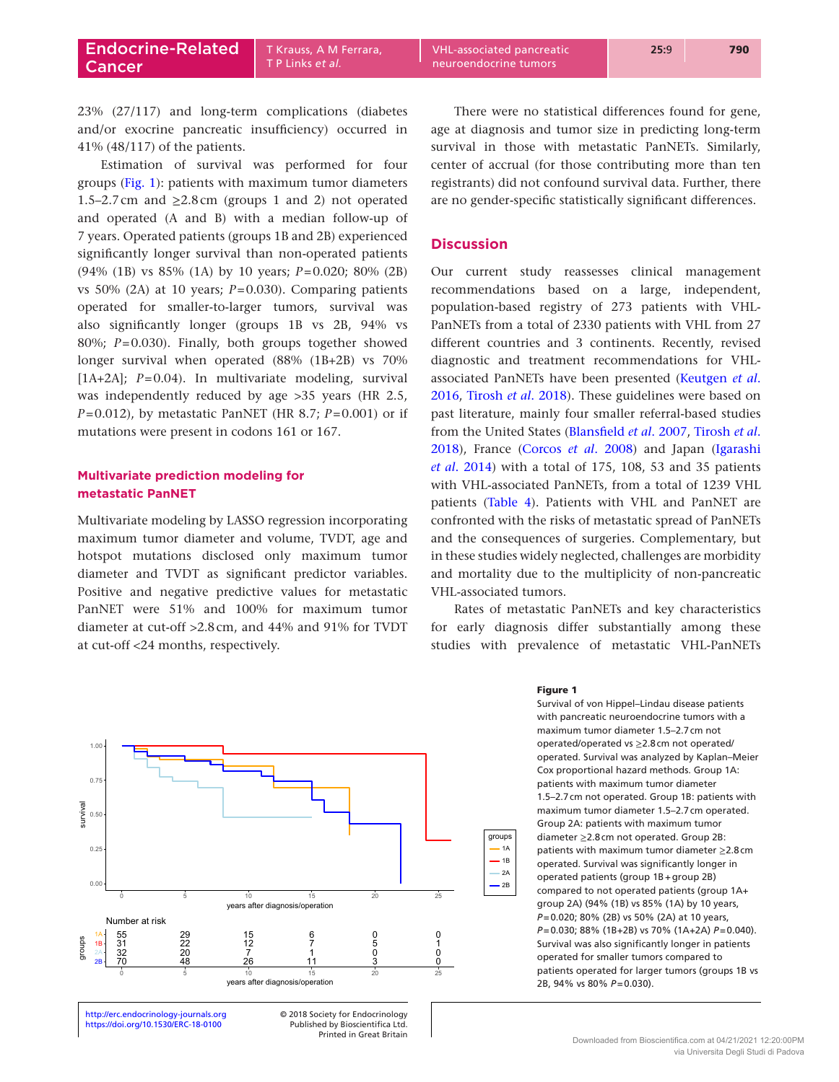23% (27/117) and long-term complications (diabetes and/or exocrine pancreatic insufficiency) occurred in 41% (48/117) of the patients.

Estimation of survival was performed for four groups (Fig. 1): patients with maximum tumor diameters 1.5–2.7cm and  $\geq$ 2.8cm (groups 1 and 2) not operated and operated (A and B) with a median follow-up of 7 years. Operated patients (groups 1B and 2B) experienced significantly longer survival than non-operated patients (94% (1B) vs 85% (1A) by 10 years; *P*=0.020; 80% (2B) vs 50% (2A) at 10 years; *P*=0.030). Comparing patients operated for smaller-to-larger tumors, survival was also significantly longer (groups 1B vs 2B, 94% vs 80%; *P*=0.030). Finally, both groups together showed longer survival when operated (88% (1B+2B) vs 70% [1A+2A];  $P=0.04$ ). In multivariate modeling, survival was independently reduced by age >35 years (HR 2.5, *P*=0.012), by metastatic PanNET (HR 8.7; *P*=0.001) or if mutations were present in codons 161 or 167.

## **Multivariate prediction modeling for metastatic PanNET**

Multivariate modeling by LASSO regression incorporating maximum tumor diameter and volume, TVDT, age and hotspot mutations disclosed only maximum tumor diameter and TVDT as significant predictor variables. Positive and negative predictive values for metastatic PanNET were 51% and 100% for maximum tumor diameter at cut-off >2.8cm, and 44% and 91% for TVDT at cut-off <24 months, respectively.



<https://doi.org/10.1530/ERC-18-0100> Published by Bioscientifica Ltd. http://erc.endocrinology-journals.org **© 2018** Society for Endocrinology

Printed in Great Britain

There were no statistical differences found for gene, age at diagnosis and tumor size in predicting long-term survival in those with metastatic PanNETs. Similarly, center of accrual (for those contributing more than ten registrants) did not confound survival data. Further, there are no gender-specific statistically significant differences.

## **Discussion**

Our current study reassesses clinical management recommendations based on a large, independent, population-based registry of 273 patients with VHL-PanNETs from a total of 2330 patients with VHL from 27 different countries and 3 continents. Recently, revised diagnostic and treatment recommendations for VHLassociated PanNETs have been presented ([Keutgen](#page-10-11) *et al*. [2016](#page-10-11), [Tirosh](#page-10-20) *et al*. 2018). These guidelines were based on past literature, mainly four smaller referral-based studies from the United States [\(Blansfield](#page-9-0) *et al*. 2007, [Tirosh](#page-10-20) *et al*. [2018](#page-10-20)), France [\(Corcos](#page-10-21) *et al*. 2008) and Japan ([Igarashi](#page-10-10)  *et al*[. 2014](#page-10-10)) with a total of 175, 108, 53 and 35 patients with VHL-associated PanNETs, from a total of 1239 VHL patients [\(Table 4](#page-8-0)). Patients with VHL and PanNET are confronted with the risks of metastatic spread of PanNETs and the consequences of surgeries. Complementary, but in these studies widely neglected, challenges are morbidity and mortality due to the multiplicity of non-pancreatic VHL-associated tumors.

Rates of metastatic PanNETs and key characteristics for early diagnosis differ substantially among these studies with prevalence of metastatic VHL-PanNETs

#### Figure 1

Survival of von Hippel–Lindau disease patients with pancreatic neuroendocrine tumors with a maximum tumor diameter 1.5–2.7cm not operated/operated vs ≥2.8cm not operated/ operated. Survival was analyzed by Kaplan–Meier Cox proportional hazard methods. Group 1A: patients with maximum tumor diameter 1.5–2.7cm not operated. Group 1B: patients with maximum tumor diameter 1.5–2.7cm operated. Group 2A: patients with maximum tumor diameter ≥2.8cm not operated. Group 2B: patients with maximum tumor diameter ≥2.8cm operated. Survival was significantly longer in operated patients (group 1B+group 2B) compared to not operated patients (group 1A+ group 2A) (94% (1B) vs 85% (1A) by 10 years, *P*=0.020; 80% (2B) vs 50% (2A) at 10 years, *P*=0.030; 88% (1B+2B) vs 70% (1A+2A) *P*=0.040). Survival was also significantly longer in patients operated for smaller tumors compared to patients operated for larger tumors (groups 1B vs 2B, 94% vs 80% *P*=0.030).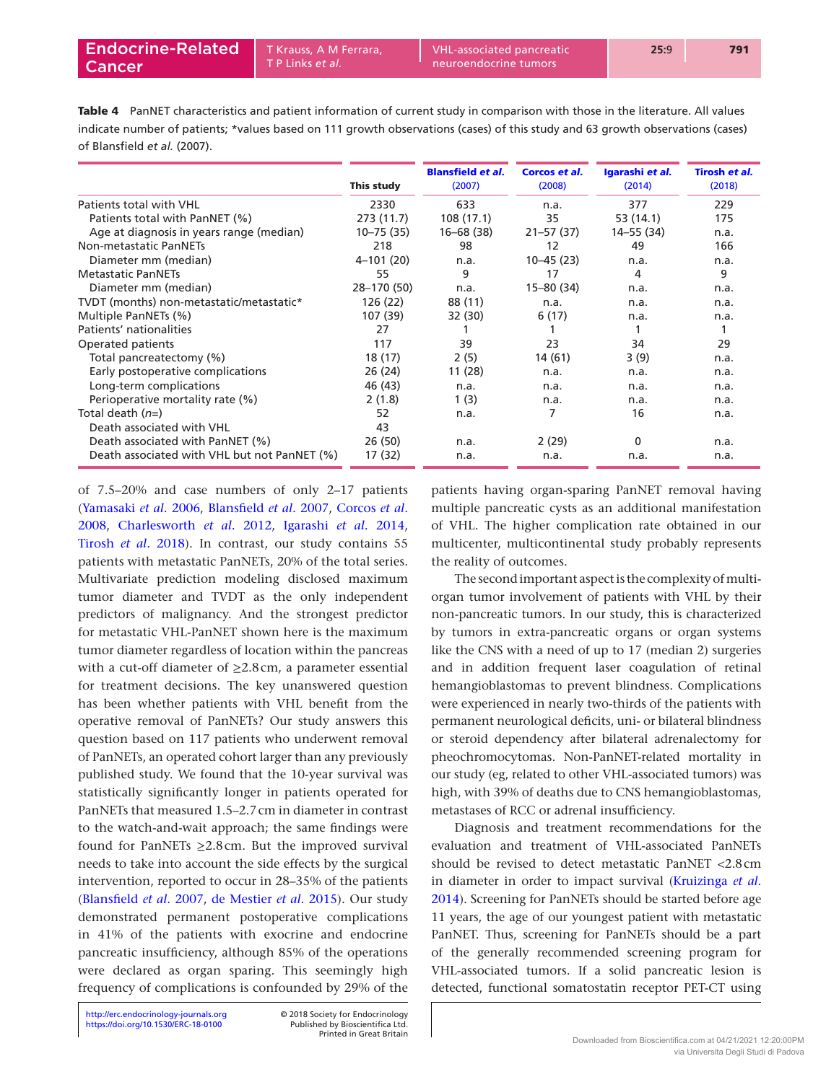<span id="page-8-0"></span>Table 4 PanNET characteristics and patient information of current study in comparison with those in the literature. All values indicate number of patients; \*values based on 111 growth observations (cases) of this study and 63 growth observations (cases) of Blansfield *et al.* (2007).

|                                              |               | <b>Blansfield et al.</b> |                         |                           | Tirosh et al. |
|----------------------------------------------|---------------|--------------------------|-------------------------|---------------------------|---------------|
|                                              | This study    | (2007)                   | Corcos et al.<br>(2008) | Igarashi et al.<br>(2014) | (2018)        |
| Patients total with VHL                      | 2330          | 633                      | n.a.                    | 377                       | 229           |
| Patients total with PanNET (%)               | 273 (11.7)    | 108(17.1)                | 35                      | 53 (14.1)                 | 175           |
| Age at diagnosis in years range (median)     | $10 - 75(35)$ | $16 - 68(38)$            | $21 - 57(37)$           | 14–55 (34)                | n.a.          |
| Non-metastatic PanNETs                       | 218           | 98                       | 12                      | 49                        | 166           |
| Diameter mm (median)                         | $4 - 101(20)$ | n.a.                     | $10 - 45(23)$           | n.a.                      | n.a.          |
| <b>Metastatic PanNETs</b>                    | 55            | 9                        | 17                      | 4                         | 9             |
| Diameter mm (median)                         | 28-170 (50)   | n.a.                     | 15-80 (34)              | n.a.                      | n.a.          |
| TVDT (months) non-metastatic/metastatic*     | 126 (22)      | 88 (11)                  | n.a.                    | n.a.                      | n.a.          |
| Multiple PanNETs (%)                         | 107 (39)      | 32 (30)                  | 6(17)                   | n.a.                      | n.a.          |
| Patients' nationalities                      | 27            |                          |                         |                           |               |
| Operated patients                            | 117           | 39                       | 23                      | 34                        | 29            |
| Total pancreatectomy (%)                     | 18 (17)       | 2(5)                     | 14 (61)                 | 3(9)                      | n.a.          |
| Early postoperative complications            | 26 (24)       | 11 (28)                  | n.a.                    | n.a.                      | n.a.          |
| Long-term complications                      | 46 (43)       | n.a.                     | n.a.                    | n.a.                      | n.a.          |
| Perioperative mortality rate (%)             | 2(1.8)        | 1(3)                     | n.a.                    | n.a.                      | n.a.          |
| Total death $(n=)$                           | 52            | n.a.                     | 7                       | 16                        | n.a.          |
| Death associated with VHL                    | 43            |                          |                         |                           |               |
| Death associated with PanNET (%)             | 26 (50)       | n.a.                     | 2(29)                   | 0                         | n.a.          |
| Death associated with VHL but not PanNET (%) | 17 (32)       | n.a.                     | n.a.                    | n.a.                      | n.a.          |

of 7.5–20% and case numbers of only 2–17 patients [\(Yamasaki](#page-10-22) *et al*. 2006, [Blansfield](#page-9-0) *et al*. 2007, [Corcos](#page-10-21) *et al*. [2008,](#page-10-21) [Charlesworth](#page-9-2) *et al*. 2012, [Igarashi](#page-10-10) *et al*. 2014, [Tirosh](#page-10-20) *et al*. 2018). In contrast, our study contains 55 patients with metastatic PanNETs, 20% of the total series. Multivariate prediction modeling disclosed maximum tumor diameter and TVDT as the only independent predictors of malignancy. And the strongest predictor for metastatic VHL-PanNET shown here is the maximum tumor diameter regardless of location within the pancreas with a cut-off diameter of  $\geq$ 2.8cm, a parameter essential for treatment decisions. The key unanswered question has been whether patients with VHL benefit from the operative removal of PanNETs? Our study answers this question based on 117 patients who underwent removal of PanNETs, an operated cohort larger than any previously published study. We found that the 10-year survival was statistically significantly longer in patients operated for PanNETs that measured 1.5–2.7cm in diameter in contrast to the watch-and-wait approach; the same findings were found for PanNETs  $\geq 2.8$  cm. But the improved survival needs to take into account the side effects by the surgical intervention, reported to occur in 28–35% of the patients [\(Blansfield](#page-9-0) *et al*. 2007, [de Mestier](#page-10-23) *et al*. 2015). Our study demonstrated permanent postoperative complications in 41% of the patients with exocrine and endocrine pancreatic insufficiency, although 85% of the operations were declared as organ sparing. This seemingly high frequency of complications is confounded by 29% of the

patients having organ-sparing PanNET removal having multiple pancreatic cysts as an additional manifestation of VHL. The higher complication rate obtained in our multicenter, multicontinental study probably represents the reality of outcomes.

The second important aspect is the complexity of multiorgan tumor involvement of patients with VHL by their non-pancreatic tumors. In our study, this is characterized by tumors in extra-pancreatic organs or organ systems like the CNS with a need of up to 17 (median 2) surgeries and in addition frequent laser coagulation of retinal hemangioblastomas to prevent blindness. Complications were experienced in nearly two-thirds of the patients with permanent neurological deficits, uni- or bilateral blindness or steroid dependency after bilateral adrenalectomy for pheochromocytomas. Non-PanNET-related mortality in our study (eg, related to other VHL-associated tumors) was high, with 39% of deaths due to CNS hemangioblastomas, metastases of RCC or adrenal insufficiency.

Diagnosis and treatment recommendations for the evaluation and treatment of VHL-associated PanNETs should be revised to detect metastatic PanNET <2.8cm in diameter in order to impact survival ([Kruizinga](#page-10-24) *et al*. [2014](#page-10-24)). Screening for PanNETs should be started before age 11 years, the age of our youngest patient with metastatic PanNET. Thus, screening for PanNETs should be a part of the generally recommended screening program for VHL-associated tumors. If a solid pancreatic lesion is detected, functional somatostatin receptor PET-CT using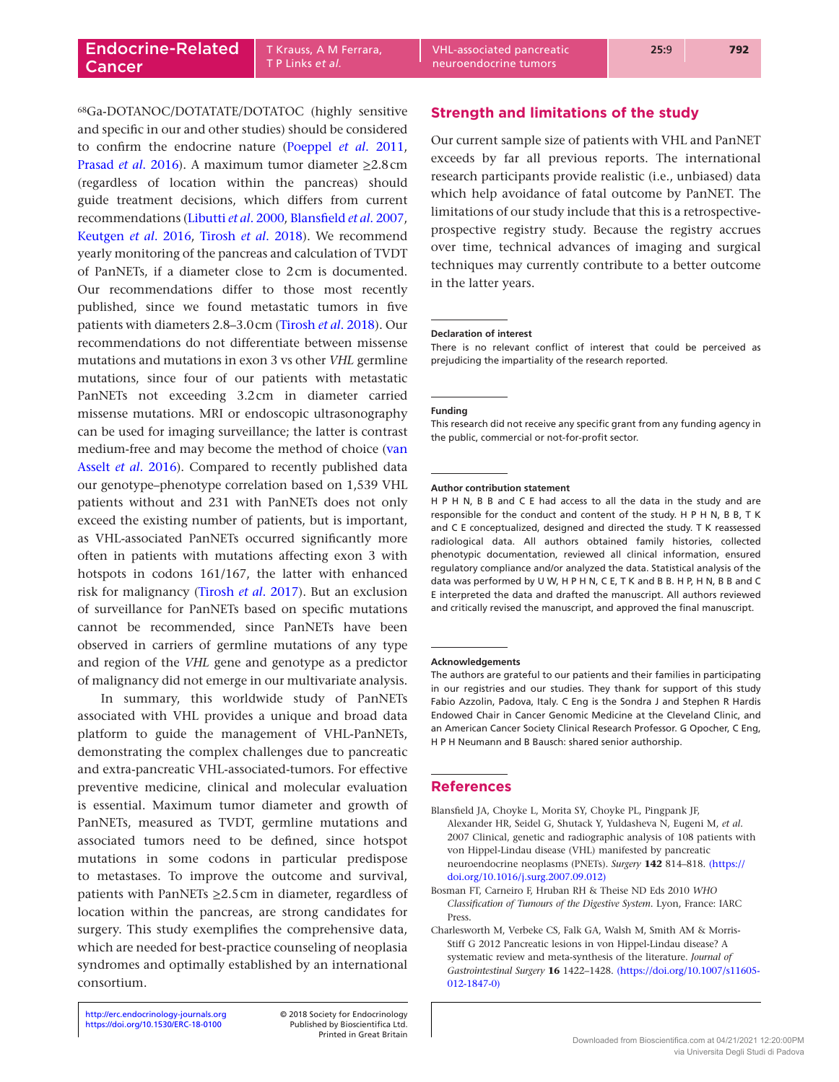T P Links *et al.*

68Ga-DOTANOC/DOTATATE/DOTATOC (highly sensitive and specific in our and other studies) should be considered to confirm the endocrine nature ([Poeppel](#page-10-25) *et al*. 2011, [Prasad](#page-10-26) *et al*. 2016). A maximum tumor diameter ≥2.8cm (regardless of location within the pancreas) should guide treatment decisions, which differs from current recommendations [\(Libutti](#page-10-9) *et al*. 2000, [Blansfield](#page-9-0) *et al*. 2007, [Keutgen](#page-10-11) *et al*. 2016, [Tirosh](#page-10-20) *et al*. 2018). We recommend yearly monitoring of the pancreas and calculation of TVDT of PanNETs, if a diameter close to 2cm is documented. Our recommendations differ to those most recently published, since we found metastatic tumors in five patients with diameters 2.8–3.0cm [\(Tirosh](#page-10-20) *et al*. 2018). Our recommendations do not differentiate between missense mutations and mutations in exon 3 vs other *VHL* germline mutations, since four of our patients with metastatic PanNETs not exceeding 3.2cm in diameter carried missense mutations. MRI or endoscopic ultrasonography can be used for imaging surveillance; the latter is contrast medium-free and may become the method of choice [\(van](#page-10-27)  Asselt *et al*[. 2016\)](#page-10-27). Compared to recently published data our genotype–phenotype correlation based on 1,539 VHL patients without and 231 with PanNETs does not only exceed the existing number of patients, but is important, as VHL-associated PanNETs occurred significantly more often in patients with mutations affecting exon 3 with hotspots in codons 161/167, the latter with enhanced risk for malignancy ([Tirosh](#page-10-28) *et al*. 2017). But an exclusion of surveillance for PanNETs based on specific mutations cannot be recommended, since PanNETs have been observed in carriers of germline mutations of any type and region of the *VHL* gene and genotype as a predictor of malignancy did not emerge in our multivariate analysis.

In summary, this worldwide study of PanNETs associated with VHL provides a unique and broad data platform to guide the management of VHL-PanNETs, demonstrating the complex challenges due to pancreatic and extra-pancreatic VHL-associated-tumors. For effective preventive medicine, clinical and molecular evaluation is essential. Maximum tumor diameter and growth of PanNETs, measured as TVDT, germline mutations and associated tumors need to be defined, since hotspot mutations in some codons in particular predispose to metastases. To improve the outcome and survival, patients with PanNETs  $\geq$ 2.5cm in diameter, regardless of location within the pancreas, are strong candidates for surgery. This study exemplifies the comprehensive data, which are needed for best-practice counseling of neoplasia syndromes and optimally established by an international consortium.

Printed in Great Britain

## **Strength and limitations of the study**

Our current sample size of patients with VHL and PanNET exceeds by far all previous reports. The international research participants provide realistic (i.e., unbiased) data which help avoidance of fatal outcome by PanNET. The limitations of our study include that this is a retrospectiveprospective registry study. Because the registry accrues over time, technical advances of imaging and surgical techniques may currently contribute to a better outcome in the latter years.

#### **Declaration of interest**

There is no relevant conflict of interest that could be perceived as prejudicing the impartiality of the research reported.

#### **Funding**

This research did not receive any specific grant from any funding agency in the public, commercial or not-for-profit sector.

#### **Author contribution statement**

H P H N, B B and C E had access to all the data in the study and are responsible for the conduct and content of the study. H P H N, B B, T K and C E conceptualized, designed and directed the study. T K reassessed radiological data. All authors obtained family histories, collected phenotypic documentation, reviewed all clinical information, ensured regulatory compliance and/or analyzed the data. Statistical analysis of the data was performed by U W, H P H N, C E, T K and B B. H P, H N, B B and C E interpreted the data and drafted the manuscript. All authors reviewed and critically revised the manuscript, and approved the final manuscript.

#### **Acknowledgements**

The authors are grateful to our patients and their families in participating in our registries and our studies. They thank for support of this study Fabio Azzolin, Padova, Italy. C Eng is the Sondra J and Stephen R Hardis Endowed Chair in Cancer Genomic Medicine at the Cleveland Clinic, and an American Cancer Society Clinical Research Professor. G Opocher, C Eng, H P H Neumann and B Bausch: shared senior authorship.

#### **References**

- <span id="page-9-0"></span>Blansfield JA, Choyke L, Morita SY, Choyke PL, Pingpank JF, Alexander HR, Seidel G, Shutack Y, Yuldasheva N, Eugeni M, *et al*. 2007 Clinical, genetic and radiographic analysis of 108 patients with von Hippel-Lindau disease (VHL) manifested by pancreatic neuroendocrine neoplasms (PNETs). *Surgery* **142** 814–818. [\(https://](https://doi.org/10.1016/j.surg.2007.09.012) [doi.org/10.1016/j.surg.2007.09.012\)](https://doi.org/10.1016/j.surg.2007.09.012)
- <span id="page-9-1"></span>Bosman FT, Carneiro F, Hruban RH & Theise ND Eds 2010 *WHO Classification of Tumours of the Digestive System*. Lyon, France: IARC Press.
- <span id="page-9-2"></span>Charlesworth M, Verbeke CS, Falk GA, Walsh M, Smith AM & Morris-Stiff G 2012 Pancreatic lesions in von Hippel-Lindau disease? A systematic review and meta-synthesis of the literature. *Journal of Gastrointestinal Surgery* **16** 1422–1428. [\(https://doi.org/10.1007/s11605-](https://doi.org/10.1007/s11605-012-1847-0) [012-1847-0\)](https://doi.org/10.1007/s11605-012-1847-0)